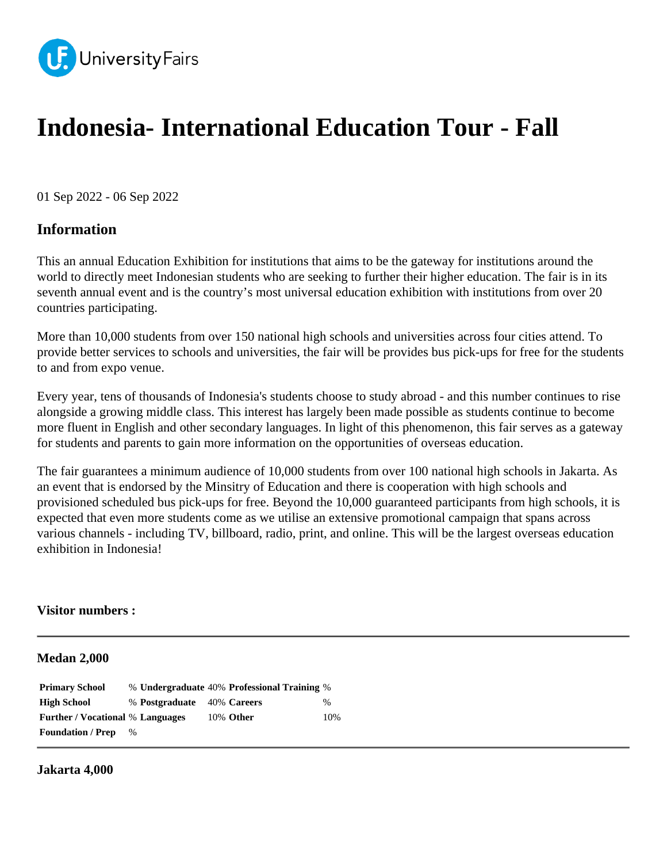

# **Indonesia- International Education Tour - Fall**

01 Sep 2022 - 06 Sep 2022

# **Information**

This an annual Education Exhibition for institutions that aims to be the gateway for institutions around the world to directly meet Indonesian students who are seeking to further their higher education. The fair is in its seventh annual event and is the country's most universal education exhibition with institutions from over 20 countries participating.

More than 10,000 students from over 150 national high schools and universities across four cities attend. To provide better services to schools and universities, the fair will be provides bus pick-ups for free for the students to and from expo venue.

Every year, tens of thousands of Indonesia's students choose to study abroad - and this number continues to rise alongside a growing middle class. This interest has largely been made possible as students continue to become more fluent in English and other secondary languages. In light of this phenomenon, this fair serves as a gateway for students and parents to gain more information on the opportunities of overseas education.

The fair guarantees a minimum audience of 10,000 students from over 100 national high schools in Jakarta. As an event that is endorsed by the Minsitry of Education and there is cooperation with high schools and provisioned scheduled bus pick-ups for free. Beyond the 10,000 guaranteed participants from high schools, it is expected that even more students come as we utilise an extensive promotional campaign that spans across various channels - including TV, billboard, radio, print, and online. This will be the largest overseas education exhibition in Indonesia!

# **Visitor numbers :**

#### **Medan 2,000**

| <b>Primary School</b>                   |      |                            | % Undergraduate 40% Professional Training % |      |
|-----------------------------------------|------|----------------------------|---------------------------------------------|------|
| <b>High School</b>                      |      | % Postgraduate 40% Careers |                                             | $\%$ |
| <b>Further / Vocational % Languages</b> |      |                            | 10% Other                                   | 10%  |
| <b>Foundation / Prep</b>                | $\%$ |                            |                                             |      |

#### **Jakarta 4,000**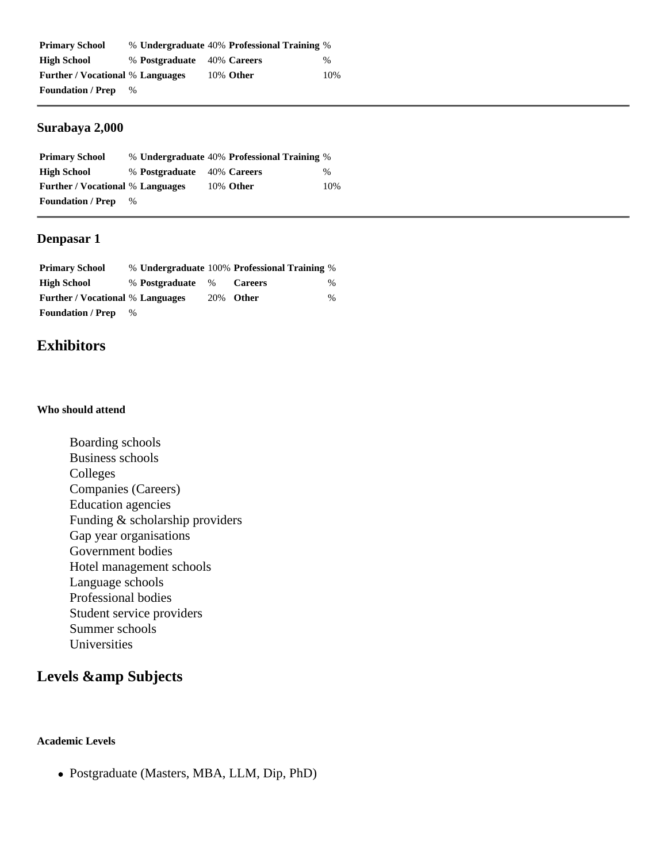| <b>Primary School</b>                   |      |                            | % Undergraduate 40% Professional Training % |      |
|-----------------------------------------|------|----------------------------|---------------------------------------------|------|
| <b>High School</b>                      |      | % Postgraduate 40% Careers |                                             | $\%$ |
| <b>Further</b> / Vocational % Languages |      |                            | 10% Other                                   | 10%  |
| <b>Foundation / Prep</b>                | $\%$ |                            |                                             |      |

# **Surabaya 2,000**

| <b>Primary School</b>                   |      |                            | % Undergraduate 40% Professional Training % |      |
|-----------------------------------------|------|----------------------------|---------------------------------------------|------|
| High School                             |      | % Postgraduate 40% Careers |                                             | $\%$ |
| <b>Further</b> / Vocational % Languages |      |                            | 10% Other                                   | 10%  |
| <b>Foundation / Prep</b>                | $\%$ |                            |                                             |      |

# **Denpasar 1**

| <b>Primary School</b>                   |   |                  | % Undergraduate 100% Professional Training % |      |
|-----------------------------------------|---|------------------|----------------------------------------------|------|
| <b>High School</b>                      |   | % Postgraduate % | <b>Careers</b>                               | $\%$ |
| <b>Further / Vocational % Languages</b> |   |                  | 20% Other                                    | $\%$ |
| <b>Foundation / Prep</b>                | % |                  |                                              |      |

# **Exhibitors**

#### **Who should attend**

Boarding schools Business schools Colleges Companies (Careers) Education agencies Funding & scholarship providers Gap year organisations Government bodies Hotel management schools Language schools Professional bodies Student service providers Summer schools Universities

# Levels & amp Subjects

#### **Academic Levels**

Postgraduate (Masters, MBA, LLM, Dip, PhD)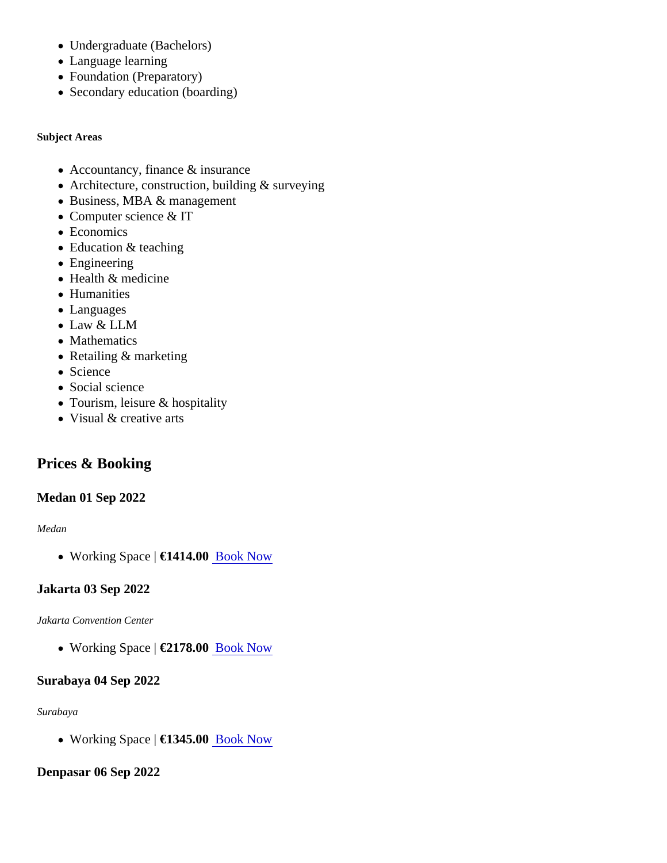- Undergraduate (Bachelors)
- Language learning
- Foundation (Preparatory)
- Secondary education (boarding)

Subject Areas

- Accountancy, finance & insurance
- Architecture, construction, building & surveying
- Business, MBA & management
- Computer science & IT
- Economics
- Education & teaching
- Engineering
- Health & medicine
- Humanities
- Languages
- Law & LLM
- Mathematics
- Retailing & marketing
- Science
- Social science
- Tourism, leisure & hospitality
- Visual & creative arts

# Prices & Booking

# Medan 01 Sep 2022

#### Medan

• Working Space €1414.0[0 Book Now](https://universityfairs.com/fair/indonesia-international-education-tour-fall?date=12773#booking)

# Jakarta 03 Sep 2022

#### Jakarta Convention Center

• Working Space €2178.0[0 Book Now](https://universityfairs.com/fair/indonesia-international-education-tour-fall?date=12774#booking)

# Surabaya 04 Sep 2022

#### Surabaya

• Working Space €1345.0[0 Book Now](https://universityfairs.com/fair/indonesia-international-education-tour-fall?date=12777#booking)

# Denpasar 06 Sep 2022